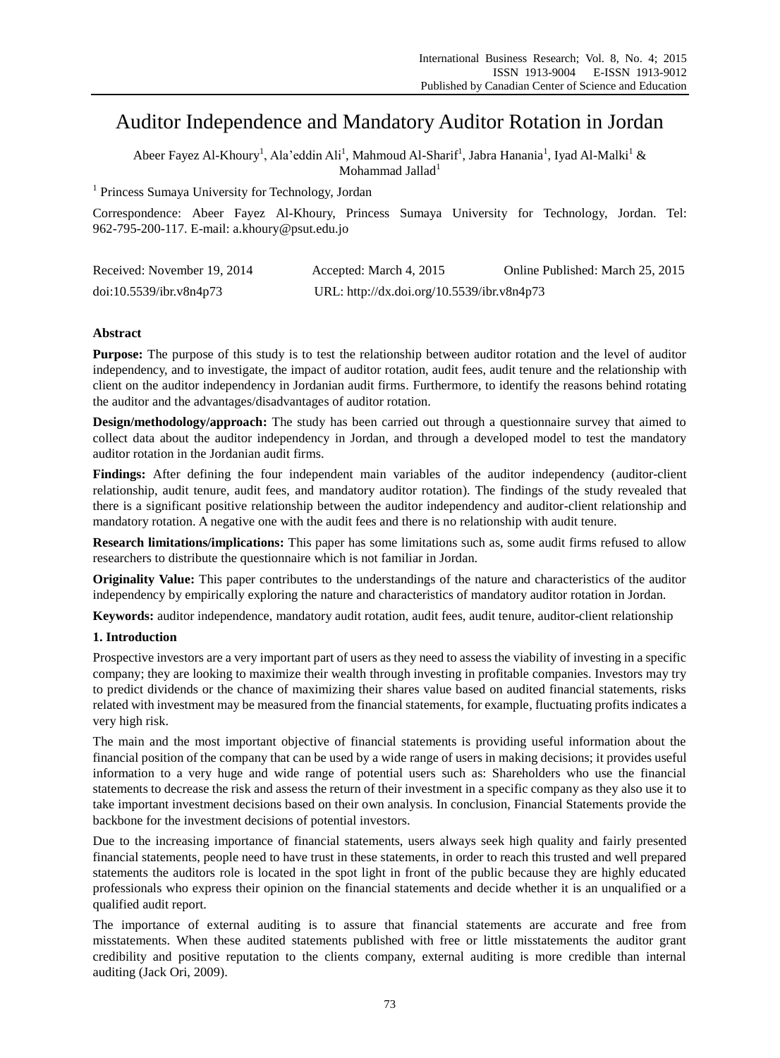# Auditor Independence and Mandatory Auditor Rotation in Jordan

Abeer Fayez Al-Khoury<sup>1</sup>, Ala'eddin Ali<sup>1</sup>, Mahmoud Al-Sharif<sup>1</sup>, Jabra Hanania<sup>1</sup>, Iyad Al-Malki<sup>1</sup> & Mohammad Jallad $<sup>1</sup>$ </sup>

<sup>1</sup> Princess Sumaya University for Technology, Jordan

Correspondence: Abeer Fayez Al-Khoury, Princess Sumaya University for Technology, Jordan. Tel: 962-795-200-117. E-mail: a.khoury@psut.edu.jo

| Received: November 19, 2014 | Accepted: March 4, 2015                    | Online Published: March 25, 2015 |
|-----------------------------|--------------------------------------------|----------------------------------|
| doi:10.5539/ibr.v8n4p73     | URL: http://dx.doi.org/10.5539/ibr.v8n4p73 |                                  |

# **Abstract**

**Purpose:** The purpose of this study is to test the relationship between auditor rotation and the level of auditor independency, and to investigate, the impact of auditor rotation, audit fees, audit tenure and the relationship with client on the auditor independency in Jordanian audit firms. Furthermore, to identify the reasons behind rotating the auditor and the advantages/disadvantages of auditor rotation.

**Design/methodology/approach:** The study has been carried out through a questionnaire survey that aimed to collect data about the auditor independency in Jordan, and through a developed model to test the mandatory auditor rotation in the Jordanian audit firms.

**Findings:** After defining the four independent main variables of the auditor independency (auditor-client relationship, audit tenure, audit fees, and mandatory auditor rotation). The findings of the study revealed that there is a significant positive relationship between the auditor independency and auditor-client relationship and mandatory rotation. A negative one with the audit fees and there is no relationship with audit tenure.

**Research limitations/implications:** This paper has some limitations such as, some audit firms refused to allow researchers to distribute the questionnaire which is not familiar in Jordan.

**Originality Value:** This paper contributes to the understandings of the nature and characteristics of the auditor independency by empirically exploring the nature and characteristics of mandatory auditor rotation in Jordan.

**Keywords:** auditor independence, mandatory audit rotation, audit fees, audit tenure, auditor-client relationship

# **1. Introduction**

Prospective investors are a very important part of users as they need to assess the viability of investing in a specific company; they are looking to maximize their wealth through investing in profitable companies. Investors may try to predict dividends or the chance of maximizing their shares value based on audited financial statements, risks related with investment may be measured from the financial statements, for example, fluctuating profits indicates a very high risk.

The main and the most important objective of financial statements is providing useful information about the financial position of the company that can be used by a wide range of users in making decisions; it provides useful information to a very huge and wide range of potential users such as: Shareholders who use the financial statements to decrease the risk and assess the return of their investment in a specific company as they also use it to take important investment decisions based on their own analysis. In conclusion, Financial Statements provide the backbone for the investment decisions of potential investors.

Due to the increasing importance of financial statements, users always seek high quality and fairly presented financial statements, people need to have trust in these statements, in order to reach this trusted and well prepared statements the auditors role is located in the spot light in front of the public because they are highly educated professionals who express their opinion on the financial statements and decide whether it is an unqualified or a qualified audit report.

The importance of external auditing is to assure that financial statements are accurate and free from misstatements. When these audited statements published with free or little misstatements the auditor grant credibility and positive reputation to the clients company, external auditing is more credible than internal auditing (Jack Ori, 2009).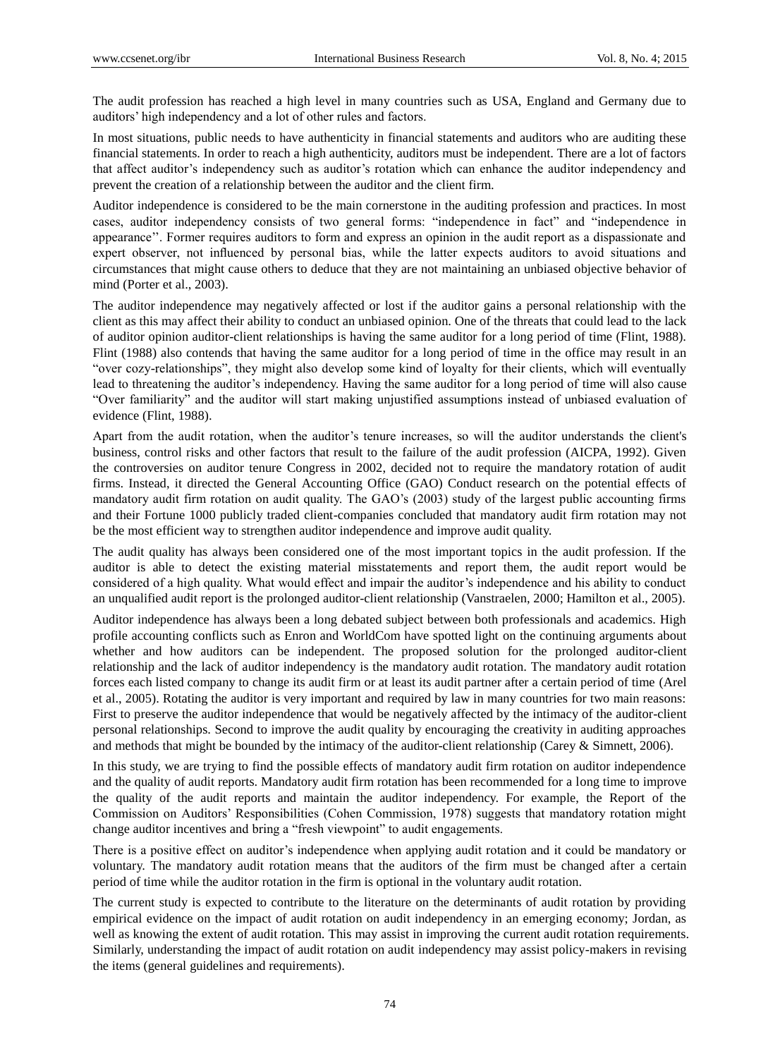The audit profession has reached a high level in many countries such as USA, England and Germany due to auditors" high independency and a lot of other rules and factors.

In most situations, public needs to have authenticity in financial statements and auditors who are auditing these financial statements. In order to reach a high authenticity, auditors must be independent. There are a lot of factors that affect auditor"s independency such as auditor"s rotation which can enhance the auditor independency and prevent the creation of a relationship between the auditor and the client firm.

Auditor independence is considered to be the main cornerstone in the auditing profession and practices. In most cases, auditor independency consists of two general forms: "independence in fact" and "independence in appearance"". Former requires auditors to form and express an opinion in the audit report as a dispassionate and expert observer, not influenced by personal bias, while the latter expects auditors to avoid situations and circumstances that might cause others to deduce that they are not maintaining an unbiased objective behavior of mind (Porter et al., 2003).

The auditor independence may negatively affected or lost if the auditor gains a personal relationship with the client as this may affect their ability to conduct an unbiased opinion. One of the threats that could lead to the lack of auditor opinion auditor-client relationships is having the same auditor for a long period of time (Flint, 1988). Flint (1988) also contends that having the same auditor for a long period of time in the office may result in an "over cozy-relationships", they might also develop some kind of loyalty for their clients, which will eventually lead to threatening the auditor"s independency. Having the same auditor for a long period of time will also cause "Over familiarity" and the auditor will start making unjustified assumptions instead of unbiased evaluation of evidence (Flint, 1988).

Apart from the audit rotation, when the auditor"s tenure increases, so will the auditor understands the client's business, control risks and other factors that result to the failure of the audit profession (AICPA, 1992). Given the controversies on auditor tenure Congress in 2002, decided not to require the mandatory rotation of audit firms. Instead, it directed the General Accounting Office (GAO) Conduct research on the potential effects of mandatory audit firm rotation on audit quality. The GAO"s (2003) study of the largest public accounting firms and their Fortune 1000 publicly traded client-companies concluded that mandatory audit firm rotation may not be the most efficient way to strengthen auditor independence and improve audit quality.

The audit quality has always been considered one of the most important topics in the audit profession. If the auditor is able to detect the existing material misstatements and report them, the audit report would be considered of a high quality. What would effect and impair the auditor's independence and his ability to conduct an unqualified audit report is the prolonged auditor-client relationship (Vanstraelen, 2000; Hamilton et al., 2005).

Auditor independence has always been a long debated subject between both professionals and academics. High profile accounting conflicts such as Enron and WorldCom have spotted light on the continuing arguments about whether and how auditors can be independent. The proposed solution for the prolonged auditor-client relationship and the lack of auditor independency is the mandatory audit rotation. The mandatory audit rotation forces each listed company to change its audit firm or at least its audit partner after a certain period of time (Arel et al., 2005). Rotating the auditor is very important and required by law in many countries for two main reasons: First to preserve the auditor independence that would be negatively affected by the intimacy of the auditor-client personal relationships. Second to improve the audit quality by encouraging the creativity in auditing approaches and methods that might be bounded by the intimacy of the auditor-client relationship (Carey & Simnett, 2006).

In this study, we are trying to find the possible effects of mandatory audit firm rotation on auditor independence and the quality of audit reports. Mandatory audit firm rotation has been recommended for a long time to improve the quality of the audit reports and maintain the auditor independency. For example, the Report of the Commission on Auditors" Responsibilities (Cohen Commission, 1978) suggests that mandatory rotation might change auditor incentives and bring a "fresh viewpoint" to audit engagements.

There is a positive effect on auditor's independence when applying audit rotation and it could be mandatory or voluntary. The mandatory audit rotation means that the auditors of the firm must be changed after a certain period of time while the auditor rotation in the firm is optional in the voluntary audit rotation.

The current study is expected to contribute to the literature on the determinants of audit rotation by providing empirical evidence on the impact of audit rotation on audit independency in an emerging economy; Jordan, as well as knowing the extent of audit rotation. This may assist in improving the current audit rotation requirements. Similarly, understanding the impact of audit rotation on audit independency may assist policy-makers in revising the items (general guidelines and requirements).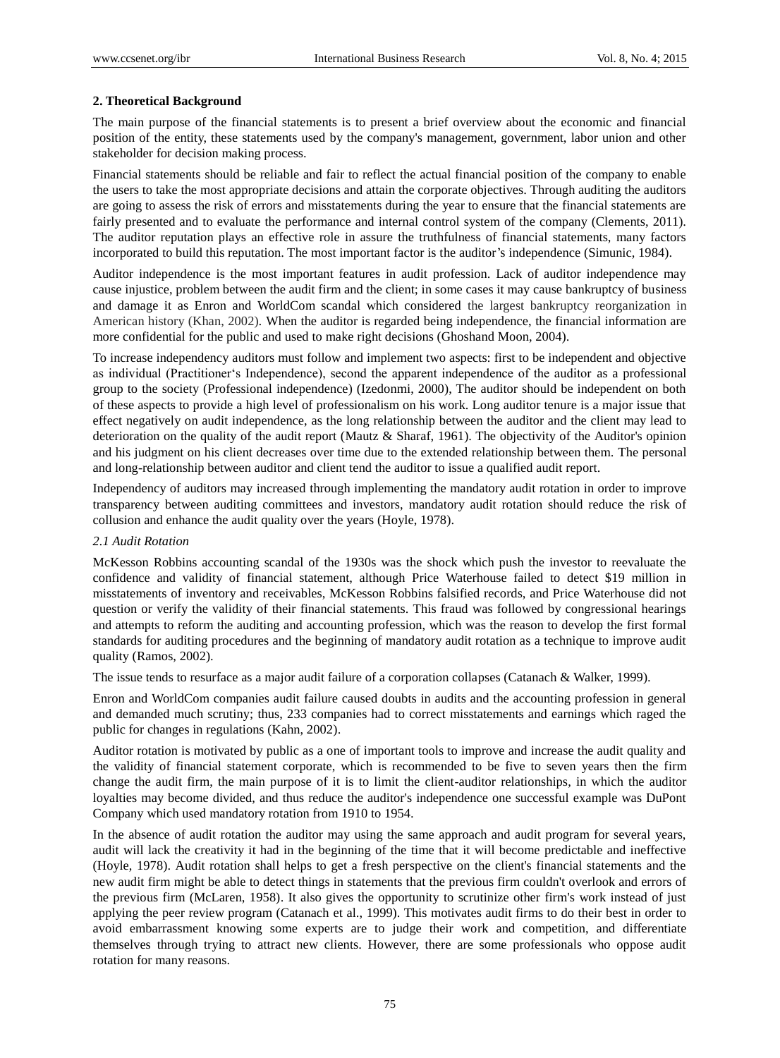#### **2. Theoretical Background**

The main purpose of the financial statements is to present a brief overview about the economic and financial position of the entity, these statements used by the company's management, government, labor union and other stakeholder for decision making process.

Financial statements should be reliable and fair to reflect the actual financial position of the company to enable the users to take the most appropriate decisions and attain the corporate objectives. Through auditing the auditors are going to assess the risk of errors and misstatements during the year to ensure that the financial statements are fairly presented and to evaluate the performance and internal control system of the company (Clements, 2011). The auditor reputation plays an effective role in assure the truthfulness of financial statements, many factors incorporated to build this reputation. The most important factor is the auditor"s independence (Simunic, 1984).

Auditor independence is the most important features in audit profession. Lack of auditor independence may cause injustice, problem between the audit firm and the client; in some cases it may cause bankruptcy of business and damage it as Enron and WorldCom scandal which considered the largest bankruptcy reorganization in American history (Khan, 2002)*.* When the auditor is regarded being independence, the financial information are more confidential for the public and used to make right decisions (Ghoshand Moon, 2004).

To increase independency auditors must follow and implement two aspects: first to be independent and objective as individual (Practitioner"s Independence), second the apparent independence of the auditor as a professional group to the society (Professional independence) (Izedonmi, 2000), The auditor should be independent on both of these aspects to provide a high level of professionalism on his work. Long auditor tenure is a major issue that effect negatively on audit independence, as the long relationship between the auditor and the client may lead to deterioration on the quality of the audit report (Mautz & Sharaf, 1961). The objectivity of the Auditor's opinion and his judgment on his client decreases over time due to the extended relationship between them. The personal and long-relationship between auditor and client tend the auditor to issue a qualified audit report.

Independency of auditors may increased through implementing the mandatory audit rotation in order to improve transparency between auditing committees and investors, mandatory audit rotation should reduce the risk of collusion and enhance the audit quality over the years (Hoyle, 1978).

#### *2.1 Audit Rotation*

McKesson Robbins accounting scandal of the 1930s was the shock which push the investor to reevaluate the confidence and validity of financial statement, although Price Waterhouse failed to detect \$19 million in misstatements of inventory and receivables, McKesson Robbins falsified records, and Price Waterhouse did not question or verify the validity of their financial statements. This fraud was followed by congressional hearings and attempts to reform the auditing and accounting profession, which was the reason to develop the first formal standards for auditing procedures and the beginning of mandatory audit rotation as a technique to improve audit quality (Ramos, 2002).

The issue tends to resurface as a major audit failure of a corporation collapses (Catanach & Walker, 1999).

Enron and WorldCom companies audit failure caused doubts in audits and the accounting profession in general and demanded much scrutiny; thus, 233 companies had to correct misstatements and earnings which raged the public for changes in regulations (Kahn, 2002).

Auditor rotation is motivated by public as a one of important tools to improve and increase the audit quality and the validity of financial statement corporate, which is recommended to be five to seven years then the firm change the audit firm, the main purpose of it is to limit the client-auditor relationships, in which the auditor loyalties may become divided, and thus reduce the auditor's independence one successful example was DuPont Company which used mandatory rotation from 1910 to 1954.

In the absence of audit rotation the auditor may using the same approach and audit program for several years, audit will lack the creativity it had in the beginning of the time that it will become predictable and ineffective (Hoyle, 1978). Audit rotation shall helps to get a fresh perspective on the client's financial statements and the new audit firm might be able to detect things in statements that the previous firm couldn't overlook and errors of the previous firm (McLaren, 1958). It also gives the opportunity to scrutinize other firm's work instead of just applying the peer review program (Catanach et al., 1999). This motivates audit firms to do their best in order to avoid embarrassment knowing some experts are to judge their work and competition, and differentiate themselves through trying to attract new clients. However, there are some professionals who oppose audit rotation for many reasons.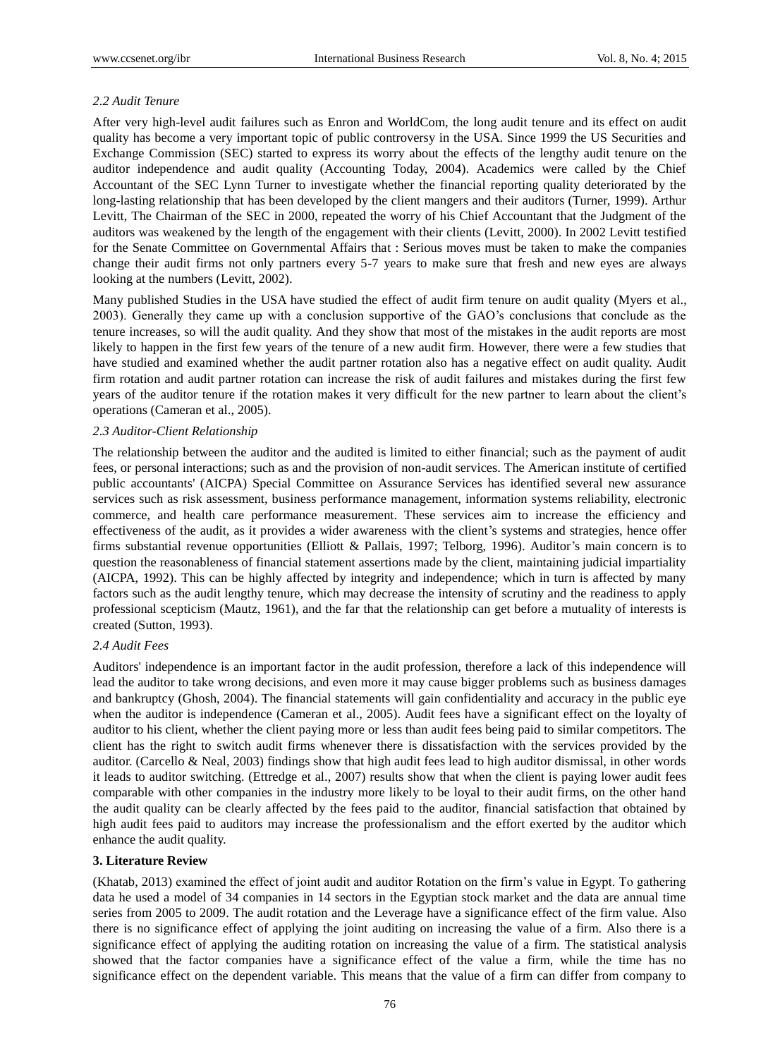# *2.2 Audit Tenure*

After very high-level audit failures such as Enron and WorldCom, the long audit tenure and its effect on audit quality has become a very important topic of public controversy in the USA. Since 1999 the US Securities and Exchange Commission (SEC) started to express its worry about the effects of the lengthy audit tenure on the auditor independence and audit quality (Accounting Today, 2004). Academics were called by the Chief Accountant of the SEC Lynn Turner to investigate whether the financial reporting quality deteriorated by the long-lasting relationship that has been developed by the client mangers and their auditors (Turner, 1999). Arthur Levitt, The Chairman of the SEC in 2000, repeated the worry of his Chief Accountant that the Judgment of the auditors was weakened by the length of the engagement with their clients (Levitt, 2000). In 2002 Levitt testified for the Senate Committee on Governmental Affairs that : Serious moves must be taken to make the companies change their audit firms not only partners every 5-7 years to make sure that fresh and new eyes are always looking at the numbers (Levitt, 2002).

Many published Studies in the USA have studied the effect of audit firm tenure on audit quality (Myers et al., 2003). Generally they came up with a conclusion supportive of the GAO"s conclusions that conclude as the tenure increases, so will the audit quality. And they show that most of the mistakes in the audit reports are most likely to happen in the first few years of the tenure of a new audit firm. However, there were a few studies that have studied and examined whether the audit partner rotation also has a negative effect on audit quality. Audit firm rotation and audit partner rotation can increase the risk of audit failures and mistakes during the first few years of the auditor tenure if the rotation makes it very difficult for the new partner to learn about the client"s operations (Cameran et al., 2005).

# *2.3 Auditor-Client Relationship*

The relationship between the auditor and the audited is limited to either financial; such as the payment of audit fees, or personal interactions; such as and the provision of non-audit services. The American institute of certified public accountants' (AICPA) Special Committee on Assurance Services has identified several new assurance services such as risk assessment, business performance management, information systems reliability, electronic commerce, and health care performance measurement. These services aim to increase the efficiency and effectiveness of the audit, as it provides a wider awareness with the client"s systems and strategies, hence offer firms substantial revenue opportunities (Elliott & Pallais, 1997; Telborg, 1996). Auditor's main concern is to question the reasonableness of financial statement assertions made by the client, maintaining judicial impartiality (AICPA, 1992). This can be highly affected by integrity and independence; which in turn is affected by many factors such as the audit lengthy tenure, which may decrease the intensity of scrutiny and the readiness to apply professional scepticism (Mautz, 1961), and the far that the relationship can get before a mutuality of interests is created (Sutton, 1993).

# *2.4 Audit Fees*

Auditors' independence is an important factor in the audit profession, therefore a lack of this independence will lead the auditor to take wrong decisions, and even more it may cause bigger problems such as business damages and bankruptcy (Ghosh, 2004). The financial statements will gain confidentiality and accuracy in the public eye when the auditor is independence (Cameran et al., 2005). Audit fees have a significant effect on the loyalty of auditor to his client, whether the client paying more or less than audit fees being paid to similar competitors. The client has the right to switch audit firms whenever there is dissatisfaction with the services provided by the auditor. (Carcello & Neal, 2003) findings show that high audit fees lead to high auditor dismissal, in other words it leads to auditor switching. (Ettredge et al., 2007) results show that when the client is paying lower audit fees comparable with other companies in the industry more likely to be loyal to their audit firms, on the other hand the audit quality can be clearly affected by the fees paid to the auditor, financial satisfaction that obtained by high audit fees paid to auditors may increase the professionalism and the effort exerted by the auditor which enhance the audit quality.

# **3. Literature Review**

(Khatab, 2013) examined the effect of joint audit and auditor Rotation on the firm"s value in Egypt. To gathering data he used a model of 34 companies in 14 sectors in the Egyptian stock market and the data are annual time series from 2005 to 2009. The audit rotation and the Leverage have a significance effect of the firm value. Also there is no significance effect of applying the joint auditing on increasing the value of a firm. Also there is a significance effect of applying the auditing rotation on increasing the value of a firm. The statistical analysis showed that the factor companies have a significance effect of the value a firm, while the time has no significance effect on the dependent variable. This means that the value of a firm can differ from company to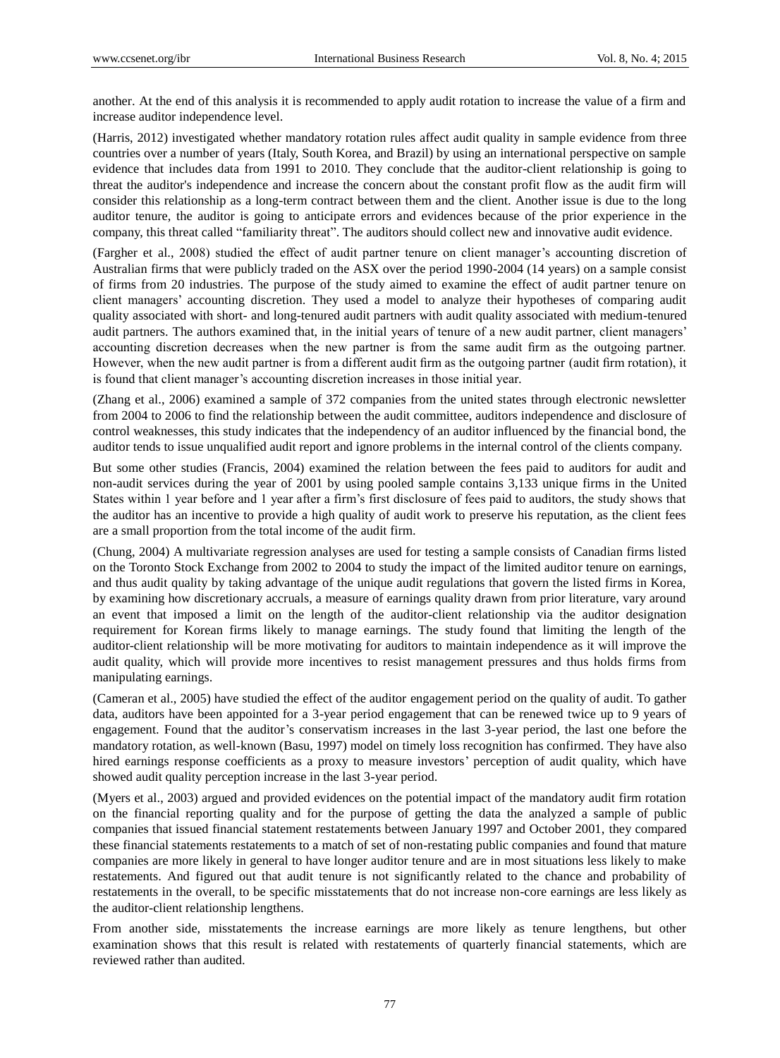another. At the end of this analysis it is recommended to apply audit rotation to increase the value of a firm and increase auditor independence level.

(Harris, 2012) investigated whether mandatory rotation rules affect audit quality in sample evidence from three countries over a number of years (Italy, South Korea, and Brazil) by using an international perspective on sample evidence that includes data from 1991 to 2010. They conclude that the auditor-client relationship is going to threat the auditor's independence and increase the concern about the constant profit flow as the audit firm will consider this relationship as a long-term contract between them and the client. Another issue is due to the long auditor tenure, the auditor is going to anticipate errors and evidences because of the prior experience in the company, this threat called "familiarity threat". The auditors should collect new and innovative audit evidence.

(Fargher et al., 2008) studied the effect of audit partner tenure on client manager"s accounting discretion of Australian firms that were publicly traded on the ASX over the period 1990-2004 (14 years) on a sample consist of firms from 20 industries. The purpose of the study aimed to examine the effect of audit partner tenure on client managers" accounting discretion. They used a model to analyze their hypotheses of comparing audit quality associated with short- and long-tenured audit partners with audit quality associated with medium-tenured audit partners. The authors examined that, in the initial years of tenure of a new audit partner, client managers' accounting discretion decreases when the new partner is from the same audit firm as the outgoing partner. However, when the new audit partner is from a different audit firm as the outgoing partner (audit firm rotation), it is found that client manager's accounting discretion increases in those initial year.

(Zhang et al., 2006) examined a sample of 372 companies from the united states through electronic newsletter from 2004 to 2006 to find the relationship between the audit committee, auditors independence and disclosure of control weaknesses, this study indicates that the independency of an auditor influenced by the financial bond, the auditor tends to issue unqualified audit report and ignore problems in the internal control of the clients company.

But some other studies (Francis, 2004) examined the relation between the fees paid to auditors for audit and non-audit services during the year of 2001 by using pooled sample contains 3,133 unique firms in the United States within 1 year before and 1 year after a firm"s first disclosure of fees paid to auditors, the study shows that the auditor has an incentive to provide a high quality of audit work to preserve his reputation, as the client fees are a small proportion from the total income of the audit firm.

(Chung, 2004) A multivariate regression analyses are used for testing a sample consists of Canadian firms listed on the Toronto Stock Exchange from 2002 to 2004 to study the impact of the limited auditor tenure on earnings, and thus audit quality by taking advantage of the unique audit regulations that govern the listed firms in Korea, by examining how discretionary accruals, a measure of earnings quality drawn from prior literature, vary around an event that imposed a limit on the length of the auditor-client relationship via the auditor designation requirement for Korean firms likely to manage earnings. The study found that limiting the length of the auditor-client relationship will be more motivating for auditors to maintain independence as it will improve the audit quality, which will provide more incentives to resist management pressures and thus holds firms from manipulating earnings.

(Cameran et al., 2005) have studied the effect of the auditor engagement period on the quality of audit. To gather data, auditors have been appointed for a 3-year period engagement that can be renewed twice up to 9 years of engagement. Found that the auditor's conservatism increases in the last 3-year period, the last one before the mandatory rotation, as well-known (Basu, 1997) model on timely loss recognition has confirmed. They have also hired earnings response coefficients as a proxy to measure investors' perception of audit quality, which have showed audit quality perception increase in the last 3-year period.

(Myers et al., 2003) argued and provided evidences on the potential impact of the mandatory audit firm rotation on the financial reporting quality and for the purpose of getting the data the analyzed a sample of public companies that issued financial statement restatements between January 1997 and October 2001, they compared these financial statements restatements to a match of set of non-restating public companies and found that mature companies are more likely in general to have longer auditor tenure and are in most situations less likely to make restatements. And figured out that audit tenure is not significantly related to the chance and probability of restatements in the overall, to be specific misstatements that do not increase non-core earnings are less likely as the auditor-client relationship lengthens.

From another side, misstatements the increase earnings are more likely as tenure lengthens, but other examination shows that this result is related with restatements of quarterly financial statements, which are reviewed rather than audited.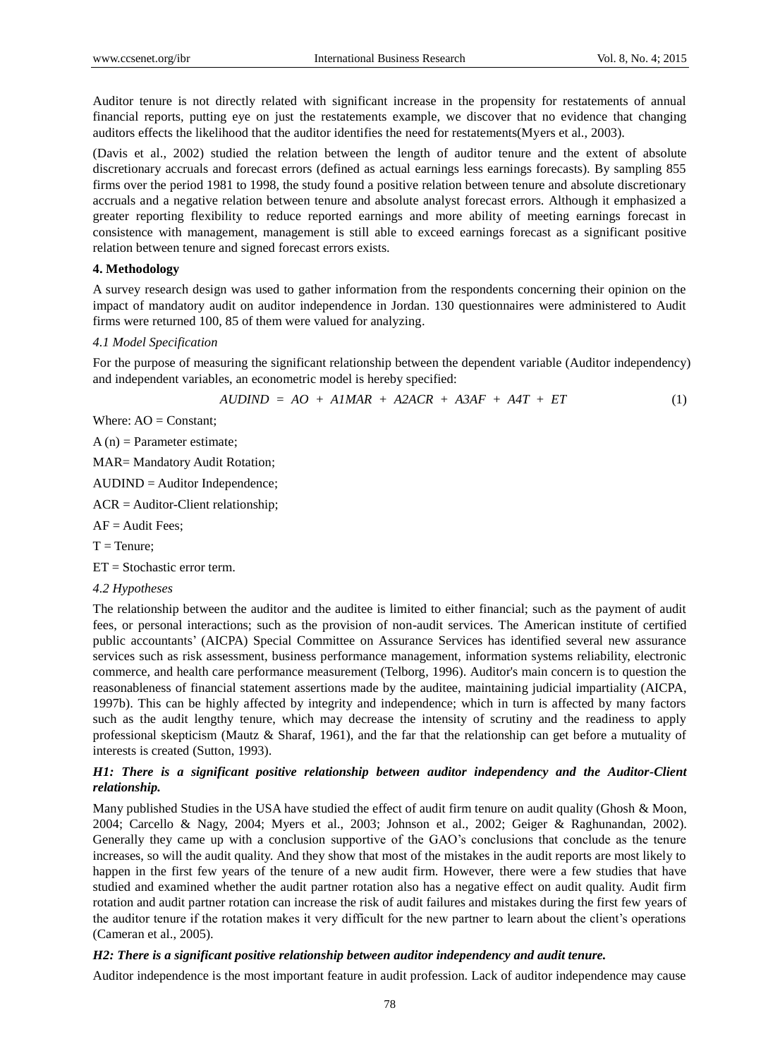Auditor tenure is not directly related with significant increase in the propensity for restatements of annual financial reports, putting eye on just the restatements example, we discover that no evidence that changing auditors effects the likelihood that the auditor identifies the need for restatements(Myers et al., 2003).

(Davis et al., 2002) studied the relation between the length of auditor tenure and the extent of absolute discretionary accruals and forecast errors (defined as actual earnings less earnings forecasts). By sampling 855 firms over the period 1981 to 1998, the study found a positive relation between tenure and absolute discretionary accruals and a negative relation between tenure and absolute analyst forecast errors. Although it emphasized a greater reporting flexibility to reduce reported earnings and more ability of meeting earnings forecast in consistence with management, management is still able to exceed earnings forecast as a significant positive relation between tenure and signed forecast errors exists.

### **4. Methodology**

A survey research design was used to gather information from the respondents concerning their opinion on the impact of mandatory audit on auditor independence in Jordan. 130 questionnaires were administered to Audit firms were returned 100, 85 of them were valued for analyzing.

### *4.1 Model Specification*

For the purpose of measuring the significant relationship between the dependent variable (Auditor independency) and independent variables, an econometric model is hereby specified:

$$
AUDIND = AO + AIMAR + A2ACR + A3AF + A4T + ET \tag{1}
$$

Where:  $AO = Constant$ :

 $A(n) = Parameter estimate;$ 

MAR= Mandatory Audit Rotation;

AUDIND = Auditor Independence;

ACR = Auditor-Client relationship;

 $AF =$  Audit Fees:

 $T =$ Tenure:

ET = Stochastic error term.

#### *4.2 Hypotheses*

The relationship between the auditor and the auditee is limited to either financial; such as the payment of audit fees, or personal interactions; such as the provision of non-audit services. The American institute of certified public accountants" (AICPA) Special Committee on Assurance Services has identified several new assurance services such as risk assessment, business performance management, information systems reliability, electronic commerce, and health care performance measurement (Telborg, 1996). Auditor's main concern is to question the reasonableness of financial statement assertions made by the auditee, maintaining judicial impartiality (AICPA, 1997b). This can be highly affected by integrity and independence; which in turn is affected by many factors such as the audit lengthy tenure, which may decrease the intensity of scrutiny and the readiness to apply professional skepticism (Mautz & Sharaf, 1961), and the far that the relationship can get before a mutuality of interests is created (Sutton, 1993).

# *H1: There is a significant positive relationship between auditor independency and the Auditor-Client relationship.*

Many published Studies in the USA have studied the effect of audit firm tenure on audit quality (Ghosh & Moon, 2004; Carcello & Nagy, 2004; Myers et al., 2003; Johnson et al., 2002; Geiger & Raghunandan, 2002). Generally they came up with a conclusion supportive of the GAO"s conclusions that conclude as the tenure increases, so will the audit quality. And they show that most of the mistakes in the audit reports are most likely to happen in the first few years of the tenure of a new audit firm. However, there were a few studies that have studied and examined whether the audit partner rotation also has a negative effect on audit quality. Audit firm rotation and audit partner rotation can increase the risk of audit failures and mistakes during the first few years of the auditor tenure if the rotation makes it very difficult for the new partner to learn about the client"s operations (Cameran et al., 2005).

# *H2: There is a significant positive relationship between auditor independency and audit tenure.*

Auditor independence is the most important feature in audit profession. Lack of auditor independence may cause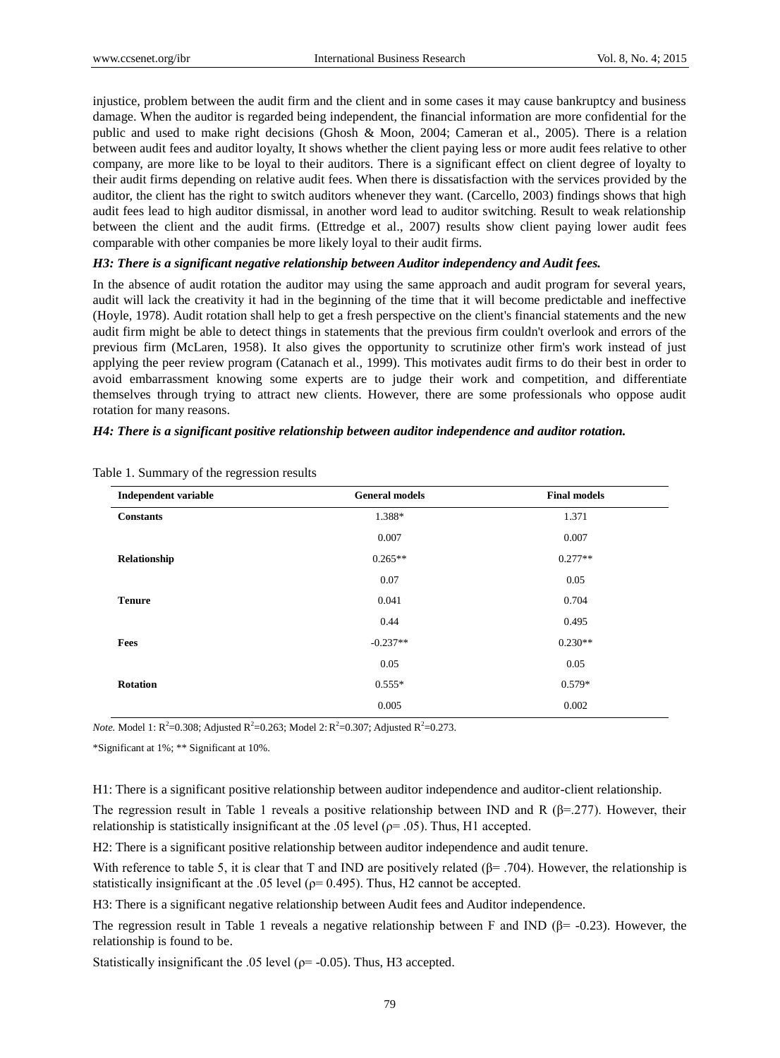injustice, problem between the audit firm and the client and in some cases it may cause bankruptcy and business damage. When the auditor is regarded being independent, the financial information are more confidential for the public and used to make right decisions (Ghosh & Moon, 2004; Cameran et al., 2005). There is a relation between audit fees and auditor loyalty, It shows whether the client paying less or more audit fees relative to other company, are more like to be loyal to their auditors. There is a significant effect on client degree of loyalty to their audit firms depending on relative audit fees. When there is dissatisfaction with the services provided by the auditor, the client has the right to switch auditors whenever they want. (Carcello, 2003) findings shows that high audit fees lead to high auditor dismissal, in another word lead to auditor switching. Result to weak relationship between the client and the audit firms. (Ettredge et al., 2007) results show client paying lower audit fees comparable with other companies be more likely loyal to their audit firms.

#### *H3: There is a significant negative relationship between Auditor independency and Audit fees.*

In the absence of audit rotation the auditor may using the same approach and audit program for several years, audit will lack the creativity it had in the beginning of the time that it will become predictable and ineffective (Hoyle, 1978). Audit rotation shall help to get a fresh perspective on the client's financial statements and the new audit firm might be able to detect things in statements that the previous firm couldn't overlook and errors of the previous firm (McLaren, 1958). It also gives the opportunity to scrutinize other firm's work instead of just applying the peer review program (Catanach et al., 1999). This motivates audit firms to do their best in order to avoid embarrassment knowing some experts are to judge their work and competition, and differentiate themselves through trying to attract new clients. However, there are some professionals who oppose audit rotation for many reasons.

#### *H4: There is a significant positive relationship between auditor independence and auditor rotation.*

| Independent variable | <b>General models</b> | <b>Final models</b> |
|----------------------|-----------------------|---------------------|
| <b>Constants</b>     | 1.388*                | 1.371               |
|                      | 0.007                 | 0.007               |
| Relationship         | $0.265**$             | $0.277**$           |
|                      | 0.07                  | 0.05                |
| <b>Tenure</b>        | 0.041                 | 0.704               |
|                      | 0.44                  | 0.495               |
| Fees                 | $-0.237**$            | $0.230**$           |
|                      | 0.05                  | 0.05                |
| <b>Rotation</b>      | $0.555*$              | $0.579*$            |
|                      | 0.005                 | 0.002               |

Table 1. Summary of the regression results

*Note.* Model 1:  $R^2$ =0.308; Adjusted  $R^2$ =0.263; Model 2:  $R^2$ =0.307; Adjusted  $R^2$ =0.273.

\*Significant at 1%; \*\* Significant at 10%.

H1: There is a significant positive relationship between auditor independence and auditor-client relationship.

The regression result in Table 1 reveals a positive relationship between IND and R ( $\beta$ =.277). However, their relationship is statistically insignificant at the .05 level ( $p=$  .05). Thus, H1 accepted.

H2: There is a significant positive relationship between auditor independence and audit tenure.

With reference to table 5, it is clear that T and IND are positively related ( $\beta$ = .704). However, the relationship is statistically insignificant at the .05 level ( $\rho$ = 0.495). Thus, H2 cannot be accepted.

H3: There is a significant negative relationship between Audit fees and Auditor independence.

The regression result in Table 1 reveals a negative relationship between F and IND ( $\beta$ = -0.23). However, the relationship is found to be.

Statistically insignificant the .05 level ( $p=$  -0.05). Thus, H3 accepted.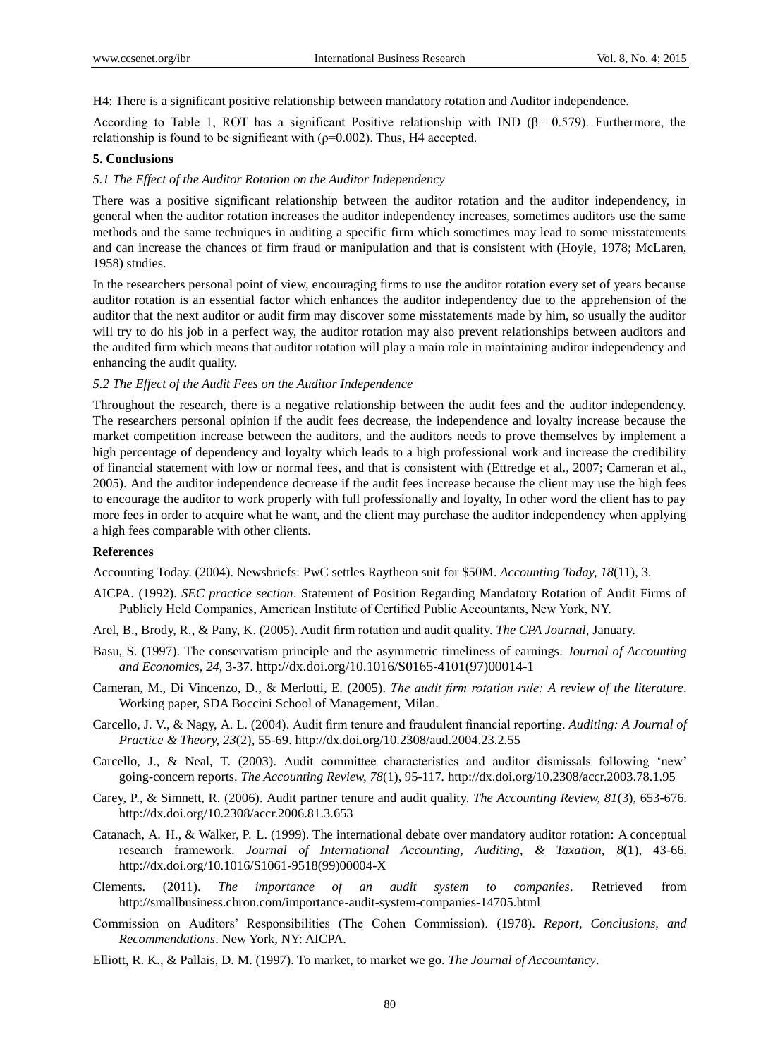H4: There is a significant positive relationship between mandatory rotation and Auditor independence.

According to Table 1, ROT has a significant Positive relationship with IND ( $\beta$ = 0.579). Furthermore, the relationship is found to be significant with  $(p=0.002)$ . Thus, H4 accepted.

#### **5. Conclusions**

### *5.1 The Effect of the Auditor Rotation on the Auditor Independency*

There was a positive significant relationship between the auditor rotation and the auditor independency, in general when the auditor rotation increases the auditor independency increases, sometimes auditors use the same methods and the same techniques in auditing a specific firm which sometimes may lead to some misstatements and can increase the chances of firm fraud or manipulation and that is consistent with (Hoyle, 1978; McLaren, 1958) studies.

In the researchers personal point of view, encouraging firms to use the auditor rotation every set of years because auditor rotation is an essential factor which enhances the auditor independency due to the apprehension of the auditor that the next auditor or audit firm may discover some misstatements made by him, so usually the auditor will try to do his job in a perfect way, the auditor rotation may also prevent relationships between auditors and the audited firm which means that auditor rotation will play a main role in maintaining auditor independency and enhancing the audit quality.

#### *5.2 The Effect of the Audit Fees on the Auditor Independence*

Throughout the research, there is a negative relationship between the audit fees and the auditor independency. The researchers personal opinion if the audit fees decrease, the independence and loyalty increase because the market competition increase between the auditors, and the auditors needs to prove themselves by implement a high percentage of dependency and loyalty which leads to a high professional work and increase the credibility of financial statement with low or normal fees, and that is consistent with (Ettredge et al., 2007; Cameran et al., 2005). And the auditor independence decrease if the audit fees increase because the client may use the high fees to encourage the auditor to work properly with full professionally and loyalty, In other word the client has to pay more fees in order to acquire what he want, and the client may purchase the auditor independency when applying a high fees comparable with other clients.

#### **References**

Accounting Today. (2004). Newsbriefs: PwC settles Raytheon suit for \$50M. *Accounting Today, 18*(11), 3.

- AICPA. (1992). *SEC practice section*. Statement of Position Regarding Mandatory Rotation of Audit Firms of Publicly Held Companies, American Institute of Certified Public Accountants, New York, NY.
- Arel, B., Brody, R., & Pany, K. (2005). Audit firm rotation and audit quality. *The CPA Journal,* January.
- Basu, S. (1997). The conservatism principle and the asymmetric timeliness of earnings. *Journal of Accounting and Economics, 24*, 3-37. http://dx.doi.org/10.1016/S0165-4101(97)00014-1
- Cameran, M., Di Vincenzo, D., & Merlotti, E. (2005). *The audit firm rotation rule: A review of the literature*. Working paper, SDA Boccini School of Management, Milan.
- Carcello, J. V., & Nagy, A. L. (2004). Audit firm tenure and fraudulent financial reporting. *Auditing: A Journal of Practice & Theory, 23*(2), 55-69. http://dx.doi.org/10.2308/aud.2004.23.2.55
- Carcello, J., & Neal, T. (2003). Audit committee characteristics and auditor dismissals following "new" going-concern reports. *The Accounting Review, 78*(1), 95-117*.* http://dx.doi.org/10.2308/accr.2003.78.1.95
- Carey, P., & Simnett, R. (2006). Audit partner tenure and audit quality. *The Accounting Review, 81*(3), 653-676. http://dx.doi.org/10.2308/accr.2006.81.3.653
- Catanach, A. H., & Walker, P. L. (1999). The international debate over mandatory auditor rotation: A conceptual research framework. *Journal of International Accounting, Auditing, & Taxation, 8*(1), 43-66. http://dx.doi.org/10.1016/S1061-9518(99)00004-X
- Clements. (2011). *The importance of an audit system to companies*. Retrieved from http://smallbusiness.chron.com/importance-audit-system-companies-14705.html
- Commission on Auditors" Responsibilities (The Cohen Commission). (1978). *Report, Conclusions, and Recommendations*. New York, NY: AICPA.
- Elliott, R. K., & Pallais, D. M. (1997). To market, to market we go. *The Journal of Accountancy*.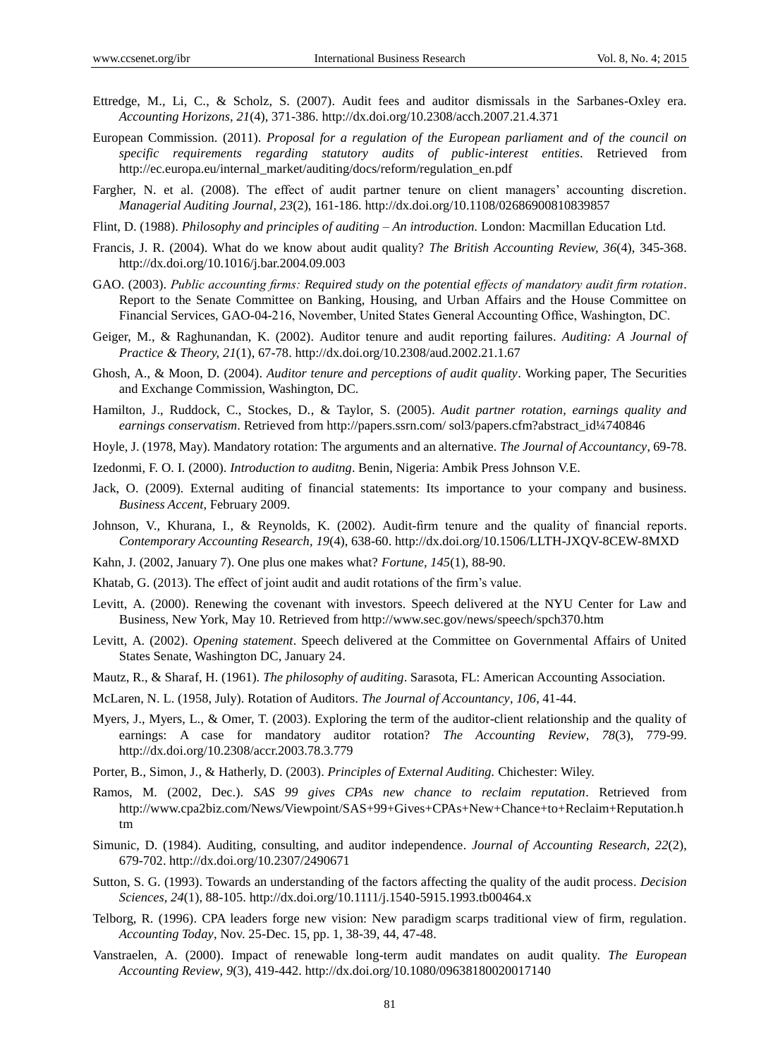- Ettredge, M., Li, C., & Scholz, S. (2007). Audit fees and auditor dismissals in the Sarbanes-Oxley era. *Accounting Horizons, 21*(4), 371-386. http://dx.doi.org/10.2308/acch.2007.21.4.371
- European Commission. (2011). *Proposal for a regulation of the European parliament and of the council on specific requirements regarding statutory audits of public-interest entities*. Retrieved from http://ec.europa.eu/internal\_market/auditing/docs/reform/regulation\_en.pdf
- Fargher, N. et al. (2008). The effect of audit partner tenure on client managers' accounting discretion. *Managerial Auditing Journal, 23*(2), 161-186. http://dx.doi.org/10.1108/02686900810839857
- Flint, D. (1988). *Philosophy and principles of auditing – An introduction.* London: Macmillan Education Ltd.
- Francis, J. R. (2004). What do we know about audit quality? *The British Accounting Review, 36*(4), 345-368. http://dx.doi.org/10.1016/j.bar.2004.09.003
- GAO. (2003). *Public accounting firms: Required study on the potential effects of mandatory audit firm rotation*. Report to the Senate Committee on Banking, Housing, and Urban Affairs and the House Committee on Financial Services, GAO-04-216, November, United States General Accounting Office, Washington, DC.
- Geiger, M., & Raghunandan, K. (2002). Auditor tenure and audit reporting failures. *Auditing: A Journal of Practice & Theory, 21*(1), 67-78. http://dx.doi.org/10.2308/aud.2002.21.1.67
- Ghosh, A., & Moon, D. (2004). *Auditor tenure and perceptions of audit quality*. Working paper, The Securities and Exchange Commission, Washington, DC.
- Hamilton, J., Ruddock, C., Stockes, D., & Taylor, S. (2005). *Audit partner rotation, earnings quality and earnings conservatism*. Retrieved from http://papers.ssrn.com/ sol3/papers.cfm?abstract\_id¼740846
- Hoyle, J. (1978, May). Mandatory rotation: The arguments and an alternative. *The Journal of Accountancy*, 69-78.
- Izedonmi, F. O. I. (2000). *Introduction to auditng*. Benin, Nigeria: Ambik Press Johnson V.E.
- Jack, O. (2009). External auditing of financial statements: Its importance to your company and business. *Business Accent*, February 2009.
- Johnson, V., Khurana, I., & Reynolds, K. (2002). Audit-firm tenure and the quality of financial reports. *Contemporary Accounting Research, 19*(4), 638-60. http://dx.doi.org/10.1506/LLTH-JXQV-8CEW-8MXD
- Kahn, J. (2002, January 7). One plus one makes what? *Fortune, 145*(1), 88-90.
- Khatab, G. (2013). The effect of joint audit and audit rotations of the firm"s value.
- Levitt, A. (2000). Renewing the covenant with investors. Speech delivered at the NYU Center for Law and Business, New York, May 10. Retrieved from http://www.sec.gov/news/speech/spch370.htm
- Levitt, A. (2002). *Opening statement*. Speech delivered at the Committee on Governmental Affairs of United States Senate, Washington DC, January 24.
- Mautz, R., & Sharaf, H. (1961). *The philosophy of auditing*. Sarasota, FL: American Accounting Association.
- McLaren, N. L. (1958, July). Rotation of Auditors. *The Journal of Accountancy, 106*, 41-44.
- Myers, J., Myers, L., & Omer, T. (2003). Exploring the term of the auditor-client relationship and the quality of earnings: A case for mandatory auditor rotation? *The Accounting Review, 78*(3), 779-99. http://dx.doi.org/10.2308/accr.2003.78.3.779
- Porter, B., Simon, J., & Hatherly, D. (2003). *Principles of External Auditing.* Chichester: Wiley.
- Ramos, M. (2002, Dec.). *SAS 99 gives CPAs new chance to reclaim reputation*. Retrieved from http://www.cpa2biz.com/News/Viewpoint/SAS+99+Gives+CPAs+New+Chance+to+Reclaim+Reputation.h tm
- Simunic, D. (1984). Auditing, consulting, and auditor independence. *Journal of Accounting Research, 22*(2), 679-702. http://dx.doi.org/10.2307/2490671
- Sutton, S. G. (1993). Towards an understanding of the factors affecting the quality of the audit process. *Decision Sciences, 24*(1), 88-105. http://dx.doi.org/10.1111/j.1540-5915.1993.tb00464.x
- Telborg, R. (1996). CPA leaders forge new vision: New paradigm scarps traditional view of firm, regulation. *Accounting Today*, Nov. 25-Dec. 15, pp. 1, 38-39, 44, 47-48.
- Vanstraelen, A. (2000). Impact of renewable long-term audit mandates on audit quality. *The European Accounting Review, 9*(3), 419-442. http://dx.doi.org/10.1080/09638180020017140